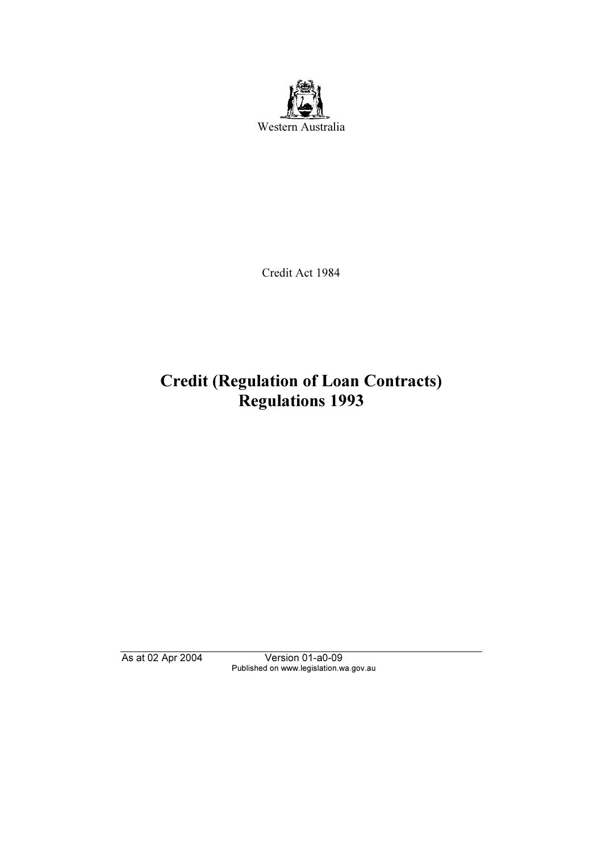

Credit Act 1984

# Credit (Regulation of Loan Contracts) Regulations 1993

Published on www.legislation.wa.gov.au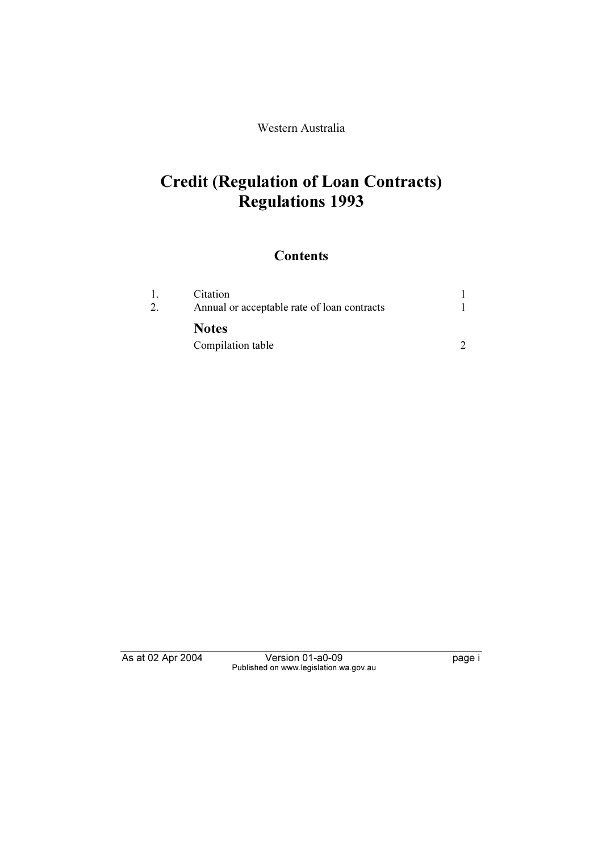Western Australia

# Credit (Regulation of Loan Contracts) Regulations 1993

### **Contents**

| 1. | Citation<br>Annual or acceptable rate of loan contracts |  |
|----|---------------------------------------------------------|--|
|    | <b>Notes</b>                                            |  |
|    | Compilation table                                       |  |

Published on www.legislation.wa.gov.au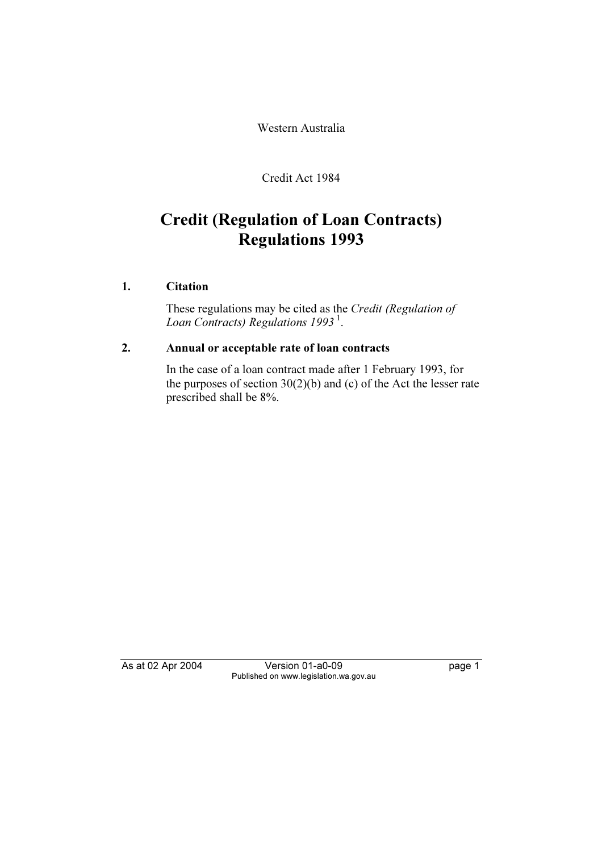Western Australia

Credit Act 1984

## Credit (Regulation of Loan Contracts) Regulations 1993

### 1. Citation

These regulations may be cited as the Credit (Regulation of Loan Contracts) Regulations  $1993<sup>1</sup>$ .

### 2. Annual or acceptable rate of loan contracts

 In the case of a loan contract made after 1 February 1993, for the purposes of section  $30(2)(b)$  and (c) of the Act the lesser rate prescribed shall be 8%.

As at 02 Apr 2004.